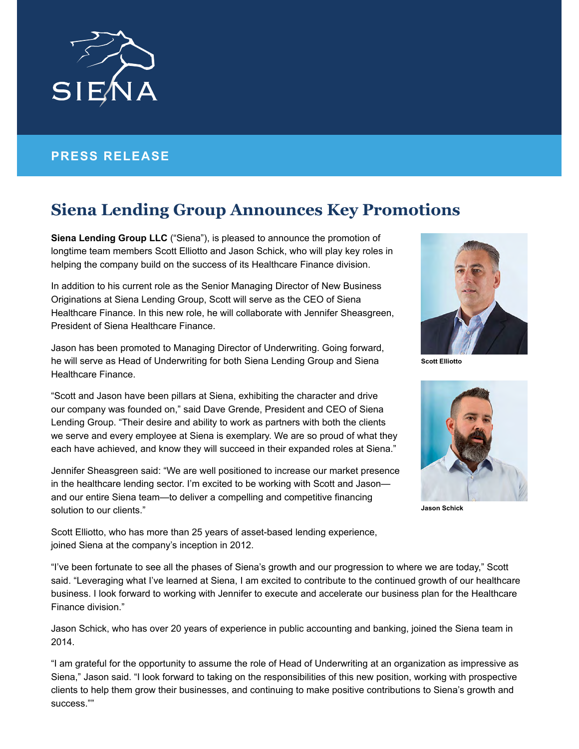

## **PRESS RELEASE**

## **Siena Lending Group Announces Key Promotions**

**Siena Lending Group LLC** ("Siena"), is pleased to announce the promotion of longtime team members Scott Elliotto and Jason Schick, who will play key roles in helping the company build on the success of its Healthcare Finance division.

In addition to his current role as the Senior Managing Director of New Business Originations at Siena Lending Group, Scott will serve as the CEO of Siena Healthcare Finance. In this new role, he will collaborate with Jennifer Sheasgreen, President of Siena Healthcare Finance.

Jason has been promoted to Managing Director of Underwriting. Going forward, he will serve as Head of Underwriting for both Siena Lending Group and Siena Healthcare Finance.

"Scott and Jason have been pillars at Siena, exhibiting the character and drive our company was founded on," said Dave Grende, President and CEO of Siena Lending Group. "Their desire and ability to work as partners with both the clients we serve and every employee at Siena is exemplary. We are so proud of what they each have achieved, and know they will succeed in their expanded roles at Siena."

Jennifer Sheasgreen said: "We are well positioned to increase our market presence in the healthcare lending sector. I'm excited to be working with Scott and Jason and our entire Siena team—to deliver a compelling and competitive financing solution to our clients."



**Scott Elliotto**



**Jason Schick**

Scott Elliotto, who has more than 25 years of asset-based lending experience, joined Siena at the company's inception in 2012.

"I've been fortunate to see all the phases of Siena's growth and our progression to where we are today," Scott said. "Leveraging what I've learned at Siena, I am excited to contribute to the continued growth of our healthcare business. I look forward to working with Jennifer to execute and accelerate our business plan for the Healthcare Finance division."

Jason Schick, who has over 20 years of experience in public accounting and banking, joined the Siena team in 2014.

"I am grateful for the opportunity to assume the role of Head of Underwriting at an organization as impressive as Siena," Jason said. "I look forward to taking on the responsibilities of this new position, working with prospective clients to help them grow their businesses, and continuing to make positive contributions to Siena's growth and success.""